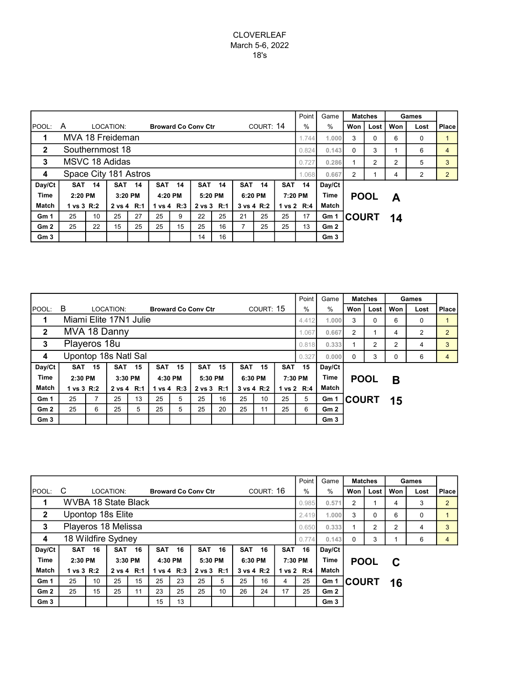|                 |                                                                                                  |    |           |    |                                         |    |            |         |            |         |            | Point   | Game            | <b>Matches</b> |                | Games          |      |                |
|-----------------|--------------------------------------------------------------------------------------------------|----|-----------|----|-----------------------------------------|----|------------|---------|------------|---------|------------|---------|-----------------|----------------|----------------|----------------|------|----------------|
| <b>IPOOL:</b>   | A                                                                                                |    | LOCATION: |    | COURT: 14<br><b>Broward Co Conv Ctr</b> |    |            |         |            |         |            |         | $\%$            | Won            | Lost           | Won            | Lost | <b>Place</b>   |
|                 | MVA 18 Freideman                                                                                 |    |           |    |                                         |    |            |         |            |         |            | 1.744   | 1.000           | 3              | 0              | 6              | 0    |                |
| $\overline{2}$  | Southernmost 18                                                                                  |    |           |    |                                         |    |            |         |            |         |            | 0.824   | 0.143           | $\Omega$       | 3              |                | 6    | $\overline{4}$ |
| 3               | MSVC 18 Adidas                                                                                   |    |           |    |                                         |    |            |         |            |         |            | 0.727   | 0.286           |                | $\overline{2}$ | $\overline{2}$ | 5    | 3              |
| 4               | Space City 181 Astros                                                                            |    |           |    |                                         |    |            |         |            |         |            | 860.1   | 0.667           | 2              |                | 4              | 2    | 2              |
| Day/Ct          | <b>SAT</b><br><b>SAT</b><br>14<br><b>SAT</b><br><b>SAT</b><br>14<br><b>SAT</b><br>14<br>14<br>14 |    |           |    |                                         |    |            |         | <b>SAT</b> | 14      | Day/Ct     |         |                 |                |                |                |      |                |
| <b>Time</b>     | 2:20 PM<br>3:20 PM                                                                               |    |           |    | 4:20 PM                                 |    |            | 5:20 PM |            | 6:20 PM |            | 7:20 PM | Time            | <b>POOL</b>    |                | А              |      |                |
| <b>Match</b>    | 1 vs 3 R:2<br>2 vs 4 R:1                                                                         |    |           |    | 1 vs 4 R:3                              |    | 2 vs 3 R:1 |         | 3 vs 4 R:2 |         | 1 vs 2 R:4 |         | Match           |                |                |                |      |                |
| Gm 1            | 25                                                                                               | 10 | 25        | 27 | 25                                      | 9  | 22         | 25      | 21         | 25      | 25         | 17      | Gm 1            | <b>COURT</b>   |                | 14             |      |                |
| Gm <sub>2</sub> | 25                                                                                               | 22 | 15        | 25 | 25                                      | 15 | 25         | 16      |            | 25      | 25         | 13      | Gm2             |                |                |                |      |                |
| Gm <sub>3</sub> |                                                                                                  |    |           |    |                                         |    | 14         | 16      |            |         |            |         | Gm <sub>3</sub> |                |                |                |      |                |

|                 |                                                                              |                               |           |  |                            |            |    |            |           |            |      | Point       | Game            | <b>Matches</b> |          | Games          |      |                |
|-----------------|------------------------------------------------------------------------------|-------------------------------|-----------|--|----------------------------|------------|----|------------|-----------|------------|------|-------------|-----------------|----------------|----------|----------------|------|----------------|
| <b>POOL:</b>    | B                                                                            |                               | LOCATION: |  | <b>Broward Co Conv Ctr</b> |            |    |            | COURT: 15 |            |      | $\%$        | $\%$            | Won            | Lost     | Won            | Lost | Place          |
| 1               | Miami Elite 17N1 Julie                                                       |                               |           |  |                            |            |    |            |           |            |      | 4.412       | 1.000           | 3              | $\Omega$ | 6              | 0    |                |
| $\mathbf{2}$    | MVA 18 Danny                                                                 |                               |           |  |                            |            |    |            |           |            |      | 1.067       | 0.667           | $\overline{2}$ |          | 4              | 2    | $\overline{2}$ |
| 3               | Playeros 18u                                                                 |                               |           |  |                            |            |    |            |           |            |      | 0.818       | 0.333           |                | 2        | $\overline{2}$ | 4    | 3              |
| 4               | Upontop 18s Natl Sal                                                         |                               |           |  |                            |            |    |            |           |            |      | 0.327       | 0.000           | $\Omega$       | 3        | 0              | 6    | 4              |
| Day/Ct          | 15<br><b>SAT</b><br><b>SAT</b><br>15<br><b>SAT</b><br>15<br>15<br><b>SAT</b> |                               |           |  |                            |            |    | <b>SAT</b> | 15        | <b>SAT</b> | 15   | Day/Ct      |                 |                |          |                |      |                |
| <b>Time</b>     | 2:30 PM                                                                      | 3:30 PM                       | 4:30 PM   |  |                            | 5:30 PM    |    | 6:30 PM    |           | 7:30 PM    | Time | <b>POOL</b> |                 | В              |          |                |      |                |
| <b>Match</b>    | 1 vs 3 R:2<br>2 vs 4 R:1                                                     |                               |           |  |                            | 1 vs 4 R:3 |    | 2 vs 3 R:1 |           | 3 vs 4 R:2 |      | 1 vs 2 R:4  | Match           |                |          |                |      |                |
| Gm <sub>1</sub> | 13<br>25<br>25                                                               |                               |           |  | 25                         | 5          | 25 | 16         | 25        | 10         | 25   | 5           | Gm 1            | <b>COURT</b>   |          | 15             |      |                |
| Gm2             | 25                                                                           | 25<br>25<br>5<br>25<br>5<br>6 |           |  |                            |            |    | 20         | 25        | 11         | 25   | 6           | Gm2             |                |          |                |      |                |
| Gm <sub>3</sub> |                                                                              |                               |           |  |                            |            |    |            |           |            |      |             | Gm <sub>3</sub> |                |          |                |      |                |

|                 |                                                                                                  |    |            |    |                            |                    |    |            |            | Point          | Game   | <b>Matches</b>  |                 | Games    |             |                |      |                |
|-----------------|--------------------------------------------------------------------------------------------------|----|------------|----|----------------------------|--------------------|----|------------|------------|----------------|--------|-----------------|-----------------|----------|-------------|----------------|------|----------------|
| POOL:           | C                                                                                                |    | LOCATION:  |    | <b>Broward Co Conv Ctr</b> |                    |    |            |            | COURT: 16      |        | %               | %               | Won      | Lost        | Won            | Lost | Place          |
| 1               | WVBA 18 State Black                                                                              |    |            |    |                            |                    |    |            |            |                |        | 0.985           | 0.571           | 2        |             | 4              | 3    | $\overline{2}$ |
| $\mathbf{2}$    | Upontop 18s Elite                                                                                |    |            |    |                            |                    |    |            |            |                |        | 2.419           | 1.000           | 3        | 0           | 6              | 0    |                |
| 3               | Playeros 18 Melissa                                                                              |    |            |    |                            |                    |    |            |            |                |        | 0.650           | 0.333           |          | 2           | $\overline{2}$ | 4    | 3              |
| 4               | 18 Wildfire Sydney                                                                               |    |            |    |                            |                    |    |            |            |                |        | 0.774           | 0.143           | $\Omega$ | 3           |                | 6    | 4              |
| Day/Ct          | <b>SAT</b><br>16<br><b>SAT</b><br>16<br>16<br><b>SAT</b><br><b>SAT</b><br>16<br><b>SAT</b><br>16 |    |            |    |                            |                    |    |            | <b>SAT</b> | 16             | Day/Ct |                 |                 |          |             |                |      |                |
| <b>Time</b>     | 2:30 PM<br>3:30 PM                                                                               |    |            |    |                            | 4:30 PM<br>5:30 PM |    |            | 6:30 PM    |                |        | Time<br>7:30 PM |                 |          | <b>POOL</b> | C              |      |                |
| <b>Match</b>    | 1 vs 3 R:2                                                                                       |    | 2 vs 4 R:1 |    | 1 vs 4 R:3<br>2 vs 3 R:1   |                    |    | 3 vs 4 R:2 |            | 1 vs 2 R:4     |        | Match           |                 |          |             |                |      |                |
| Gm <sub>1</sub> | 15<br>25<br>25<br>23<br>25<br>10<br>25                                                           |    |            |    |                            |                    | 5  | 25         | 16         | $\overline{4}$ | 25     | Gm 1            | <b>COURT</b>    |          | 16          |                |      |                |
| Gm2             | 25                                                                                               | 15 | 25         | 11 | 23                         | 25                 | 25 | 10         | 26         | 24             | 17     | 25              | Gm <sub>2</sub> |          |             |                |      |                |
| Gm <sub>3</sub> |                                                                                                  |    |            |    | 15                         | 13                 |    |            |            |                |        |                 | Gm <sub>3</sub> |          |             |                |      |                |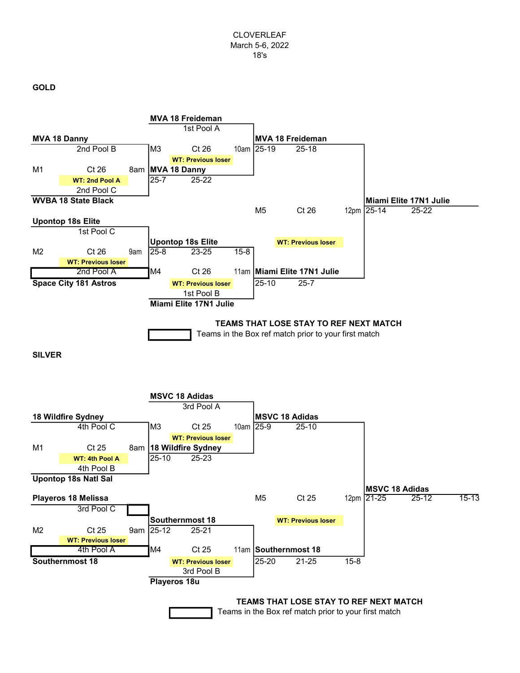## GOLD